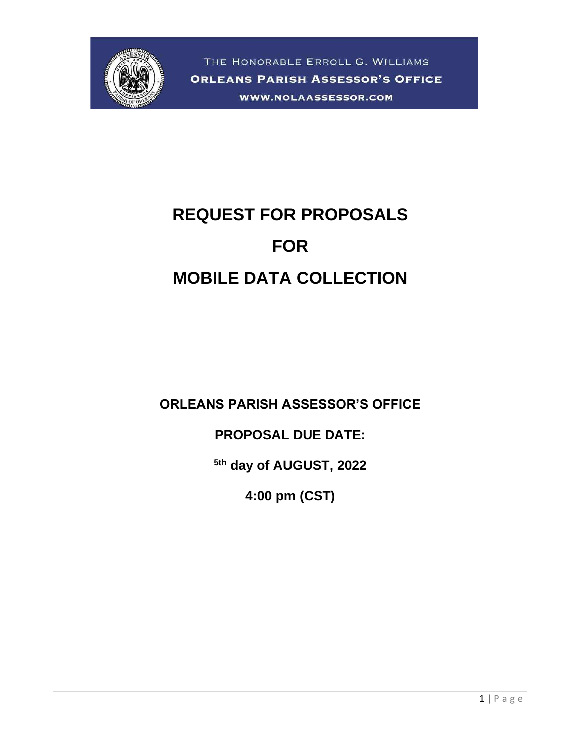

# **REQUEST FOR PROPOSALS FOR MOBILE DATA COLLECTION**

**ORLEANS PARISH ASSESSOR'S OFFICE**

**PROPOSAL DUE DATE:**

**5th day of AUGUST, 2022**

**4:00 pm (CST)**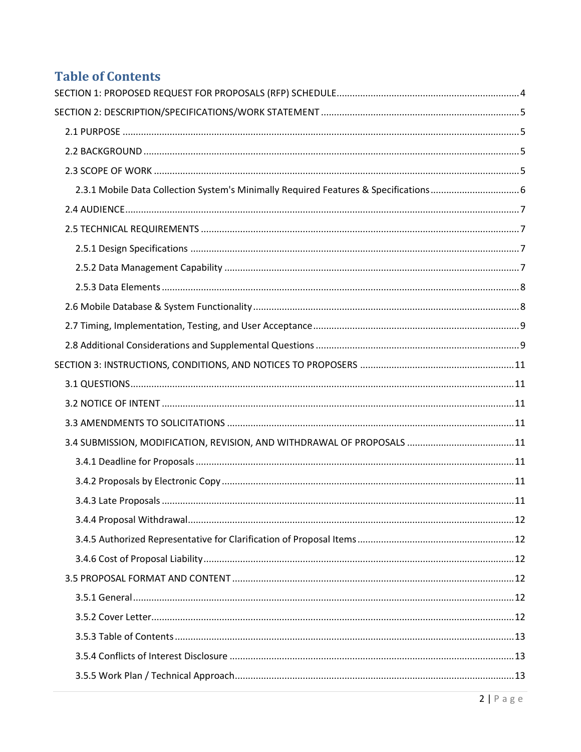# **Table of Contents**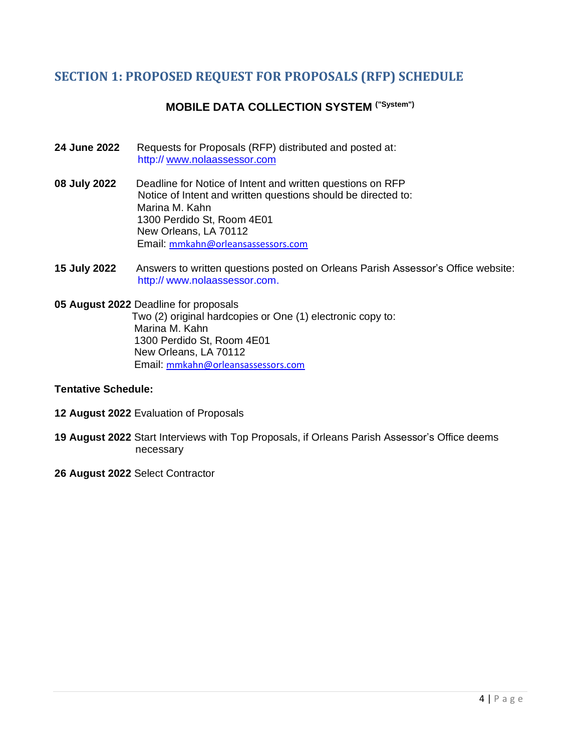# <span id="page-3-0"></span>**SECTION 1: PROPOSED REQUEST FOR PROPOSALS (RFP) SCHEDULE**

# **MOBILE DATA COLLECTION SYSTEM ("System")**

- **24 June 2022** Requests for Proposals (RFP) distributed and posted at: http:// [www.nolaassessor.com](http://www.nolaassessor.com/)
- **08 July 2022** Deadline for Notice of Intent and written questions on RFP Notice of Intent and written questions should be directed to: Marina M. Kahn 1300 Perdido St, Room 4E01 New Orleans, LA 70112 Email: mmkahn@orleansassessors.com
- **15 July 2022** Answers to written questions posted on Orleans Parish Assessor's Office website: http:// www.nolaassessor.com.

**05 August 2022** Deadline for proposals Two (2) original hardcopies or One (1) electronic copy to: Marina M. Kahn 1300 Perdido St, Room 4E01 New Orleans, LA 70112 Email: mmkahn@orleansassessors.com

#### **Tentative Schedule:**

- **12 August 2022** Evaluation of Proposals
- **19 August 2022** Start Interviews with Top Proposals, if Orleans Parish Assessor's Office deems necessary
- **26 August 2022** Select Contractor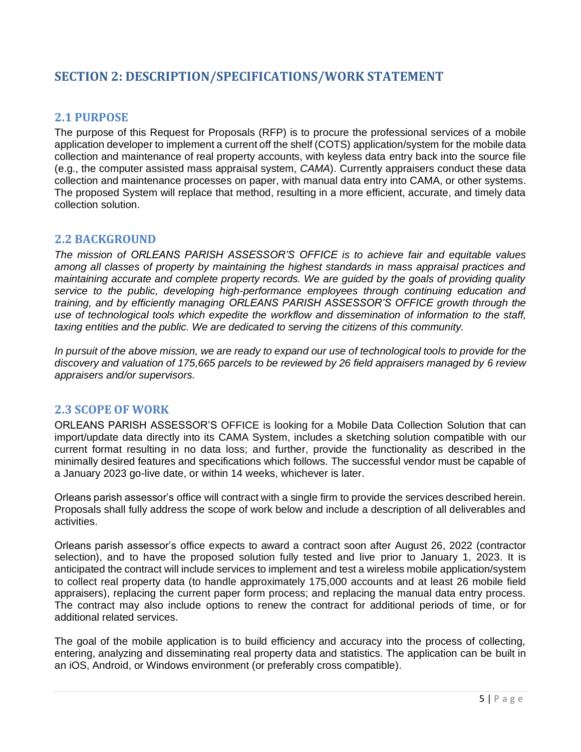# <span id="page-4-0"></span>**SECTION 2: DESCRIPTION/SPECIFICATIONS/WORK STATEMENT**

# <span id="page-4-1"></span>**2.1 PURPOSE**

The purpose of this Request for Proposals (RFP) is to procure the professional services of a mobile application developer to implement a current off the shelf (COTS) application/system for the mobile data collection and maintenance of real property accounts, with keyless data entry back into the source file (e.g., the computer assisted mass appraisal system, *CAMA*). Currently appraisers conduct these data collection and maintenance processes on paper, with manual data entry into CAMA, or other systems. The proposed System will replace that method, resulting in a more efficient, accurate, and timely data collection solution.

## <span id="page-4-2"></span>**2.2 BACKGROUND**

*The mission of ORLEANS PARISH ASSESSOR'S OFFICE is to achieve fair and equitable values among all classes of property by maintaining the highest standards in mass appraisal practices and maintaining accurate and complete property records. We are guided by the goals of providing quality service to the public, developing high-performance employees through continuing education and training, and by efficiently managing ORLEANS PARISH ASSESSOR'S OFFICE growth through the use of technological tools which expedite the workflow and dissemination of information to the staff, taxing entities and the public. We are dedicated to serving the citizens of this community.*

*In pursuit of the above mission, we are ready to expand our use of technological tools to provide for the discovery and valuation of 175,665 parcels to be reviewed by 26 field appraisers managed by 6 review appraisers and/or supervisors.*

## <span id="page-4-3"></span>**2.3 SCOPE OF WORK**

ORLEANS PARISH ASSESSOR'S OFFICE is looking for a Mobile Data Collection Solution that can import/update data directly into its CAMA System, includes a sketching solution compatible with our current format resulting in no data loss; and further, provide the functionality as described in the minimally desired features and specifications which follows. The successful vendor must be capable of a January 2023 go-live date, or within 14 weeks, whichever is later.

Orleans parish assessor's office will contract with a single firm to provide the services described herein. Proposals shall fully address the scope of work below and include a description of all deliverables and activities.

Orleans parish assessor's office expects to award a contract soon after August 26, 2022 (contractor selection), and to have the proposed solution fully tested and live prior to January 1, 2023. It is anticipated the contract will include services to implement and test a wireless mobile application/system to collect real property data (to handle approximately 175,000 accounts and at least 26 mobile field appraisers), replacing the current paper form process; and replacing the manual data entry process. The contract may also include options to renew the contract for additional periods of time, or for additional related services.

The goal of the mobile application is to build efficiency and accuracy into the process of collecting, entering, analyzing and disseminating real property data and statistics. The application can be built in an iOS, Android, or Windows environment (or preferably cross compatible).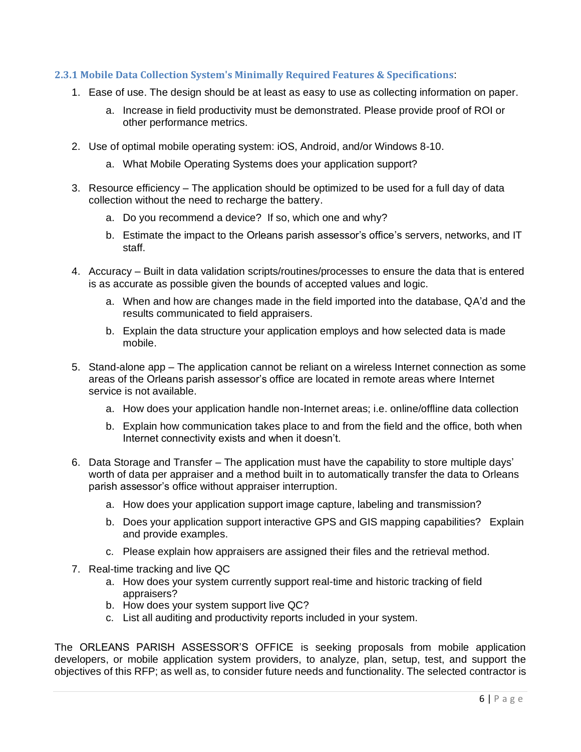#### <span id="page-5-0"></span>**2.3.1 Mobile Data Collection System's Minimally Required Features & Specifications**:

- 1. Ease of use. The design should be at least as easy to use as collecting information on paper.
	- a. Increase in field productivity must be demonstrated. Please provide proof of ROI or other performance metrics.
- 2. Use of optimal mobile operating system: iOS, Android, and/or Windows 8-10.
	- a. What Mobile Operating Systems does your application support?
- 3. Resource efficiency The application should be optimized to be used for a full day of data collection without the need to recharge the battery.
	- a. Do you recommend a device? If so, which one and why?
	- b. Estimate the impact to the Orleans parish assessor's office's servers, networks, and IT staff.
- 4. Accuracy Built in data validation scripts/routines/processes to ensure the data that is entered is as accurate as possible given the bounds of accepted values and logic.
	- a. When and how are changes made in the field imported into the database, QA'd and the results communicated to field appraisers.
	- b. Explain the data structure your application employs and how selected data is made mobile.
- 5. Stand-alone app The application cannot be reliant on a wireless Internet connection as some areas of the Orleans parish assessor's office are located in remote areas where Internet service is not available.
	- a. How does your application handle non-Internet areas; i.e. online/offline data collection
	- b. Explain how communication takes place to and from the field and the office, both when Internet connectivity exists and when it doesn't.
- 6. Data Storage and Transfer The application must have the capability to store multiple days' worth of data per appraiser and a method built in to automatically transfer the data to Orleans parish assessor's office without appraiser interruption.
	- a. How does your application support image capture, labeling and transmission?
	- b. Does your application support interactive GPS and GIS mapping capabilities? Explain and provide examples.
	- c. Please explain how appraisers are assigned their files and the retrieval method.
- 7. Real-time tracking and live QC
	- a. How does your system currently support real-time and historic tracking of field appraisers?
	- b. How does your system support live QC?
	- c. List all auditing and productivity reports included in your system.

The ORLEANS PARISH ASSESSOR'S OFFICE is seeking proposals from mobile application developers, or mobile application system providers, to analyze, plan, setup, test, and support the objectives of this RFP; as well as, to consider future needs and functionality. The selected contractor is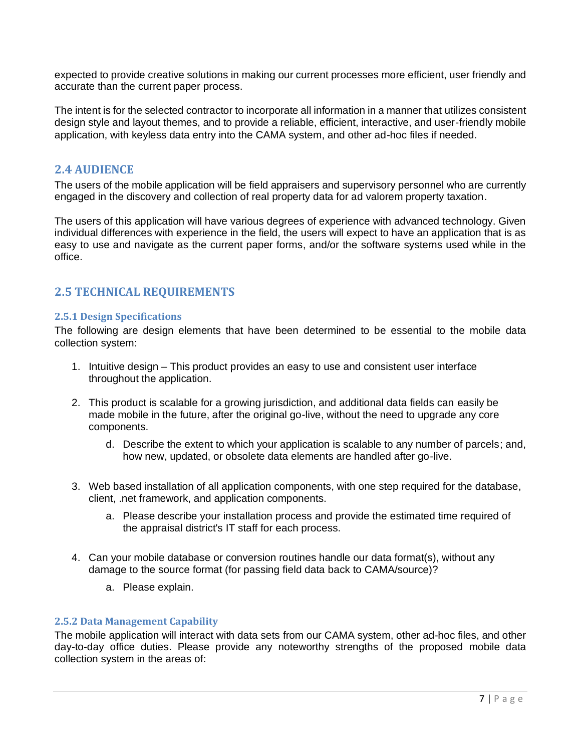expected to provide creative solutions in making our current processes more efficient, user friendly and accurate than the current paper process.

The intent is for the selected contractor to incorporate all information in a manner that utilizes consistent design style and layout themes, and to provide a reliable, efficient, interactive, and user-friendly mobile application, with keyless data entry into the CAMA system, and other ad-hoc files if needed.

# <span id="page-6-0"></span>**2.4 AUDIENCE**

The users of the mobile application will be field appraisers and supervisory personnel who are currently engaged in the discovery and collection of real property data for ad valorem property taxation.

The users of this application will have various degrees of experience with advanced technology. Given individual differences with experience in the field, the users will expect to have an application that is as easy to use and navigate as the current paper forms, and/or the software systems used while in the office.

# <span id="page-6-1"></span>**2.5 TECHNICAL REQUIREMENTS**

#### <span id="page-6-2"></span>**2.5.1 Design Specifications**

The following are design elements that have been determined to be essential to the mobile data collection system:

- 1. Intuitive design This product provides an easy to use and consistent user interface throughout the application.
- 2. This product is scalable for a growing jurisdiction, and additional data fields can easily be made mobile in the future, after the original go-live, without the need to upgrade any core components.
	- d. Describe the extent to which your application is scalable to any number of parcels; and, how new, updated, or obsolete data elements are handled after go-live.
- 3. Web based installation of all application components, with one step required for the database, client, .net framework, and application components.
	- a. Please describe your installation process and provide the estimated time required of the appraisal district's IT staff for each process.
- 4. Can your mobile database or conversion routines handle our data format(s), without any damage to the source format (for passing field data back to CAMA/source)?
	- a. Please explain.

#### <span id="page-6-3"></span>**2.5.2 Data Management Capability**

The mobile application will interact with data sets from our CAMA system, other ad-hoc files, and other day-to-day office duties. Please provide any noteworthy strengths of the proposed mobile data collection system in the areas of: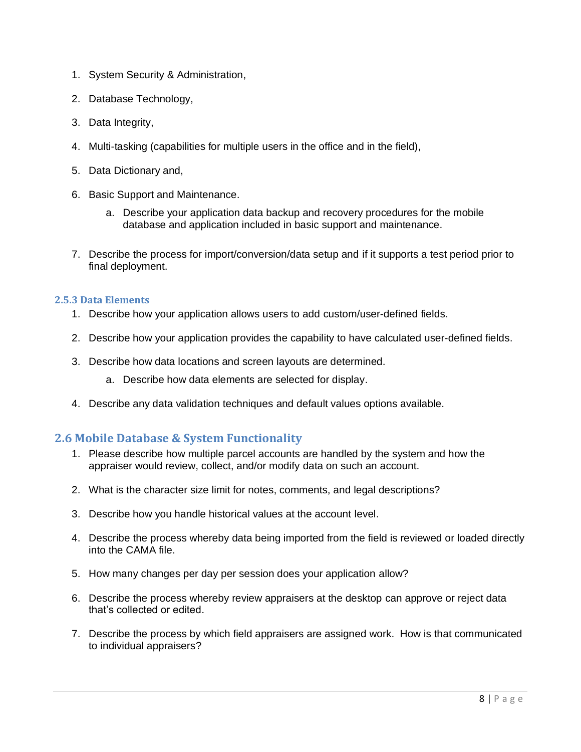- 1. System Security & Administration,
- 2. Database Technology,
- 3. Data Integrity,
- 4. Multi-tasking (capabilities for multiple users in the office and in the field),
- 5. Data Dictionary and,
- 6. Basic Support and Maintenance.
	- a. Describe your application data backup and recovery procedures for the mobile database and application included in basic support and maintenance.
- 7. Describe the process for import/conversion/data setup and if it supports a test period prior to final deployment.

#### <span id="page-7-0"></span>**2.5.3 Data Elements**

- 1. Describe how your application allows users to add custom/user-defined fields.
- 2. Describe how your application provides the capability to have calculated user-defined fields.
- 3. Describe how data locations and screen layouts are determined.
	- a. Describe how data elements are selected for display.
- 4. Describe any data validation techniques and default values options available.

# <span id="page-7-1"></span>**2.6 Mobile Database & System Functionality**

- 1. Please describe how multiple parcel accounts are handled by the system and how the appraiser would review, collect, and/or modify data on such an account.
- 2. What is the character size limit for notes, comments, and legal descriptions?
- 3. Describe how you handle historical values at the account level.
- 4. Describe the process whereby data being imported from the field is reviewed or loaded directly into the CAMA file.
- 5. How many changes per day per session does your application allow?
- 6. Describe the process whereby review appraisers at the desktop can approve or reject data that's collected or edited.
- 7. Describe the process by which field appraisers are assigned work. How is that communicated to individual appraisers?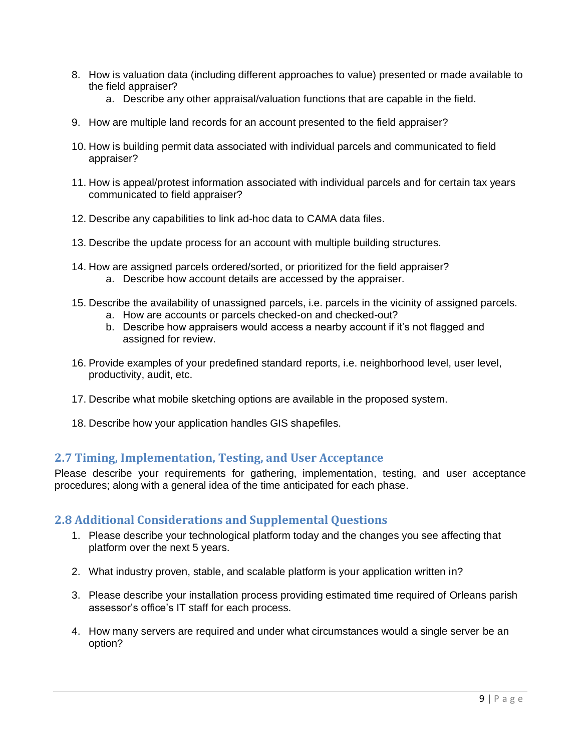- 8. How is valuation data (including different approaches to value) presented or made available to the field appraiser?
	- a. Describe any other appraisal/valuation functions that are capable in the field.
- 9. How are multiple land records for an account presented to the field appraiser?
- 10. How is building permit data associated with individual parcels and communicated to field appraiser?
- 11. How is appeal/protest information associated with individual parcels and for certain tax years communicated to field appraiser?
- 12. Describe any capabilities to link ad-hoc data to CAMA data files.
- 13. Describe the update process for an account with multiple building structures.
- 14. How are assigned parcels ordered/sorted, or prioritized for the field appraiser? a. Describe how account details are accessed by the appraiser.
- 15. Describe the availability of unassigned parcels, i.e. parcels in the vicinity of assigned parcels.
	- a. How are accounts or parcels checked-on and checked-out?
	- b. Describe how appraisers would access a nearby account if it's not flagged and assigned for review.
- 16. Provide examples of your predefined standard reports, i.e. neighborhood level, user level, productivity, audit, etc.
- 17. Describe what mobile sketching options are available in the proposed system.
- 18. Describe how your application handles GIS shapefiles.

# <span id="page-8-0"></span>**2.7 Timing, Implementation, Testing, and User Acceptance**

Please describe your requirements for gathering, implementation, testing, and user acceptance procedures; along with a general idea of the time anticipated for each phase.

# <span id="page-8-1"></span>**2.8 Additional Considerations and Supplemental Questions**

- 1. Please describe your technological platform today and the changes you see affecting that platform over the next 5 years.
- 2. What industry proven, stable, and scalable platform is your application written in?
- 3. Please describe your installation process providing estimated time required of Orleans parish assessor's office's IT staff for each process.
- 4. How many servers are required and under what circumstances would a single server be an option?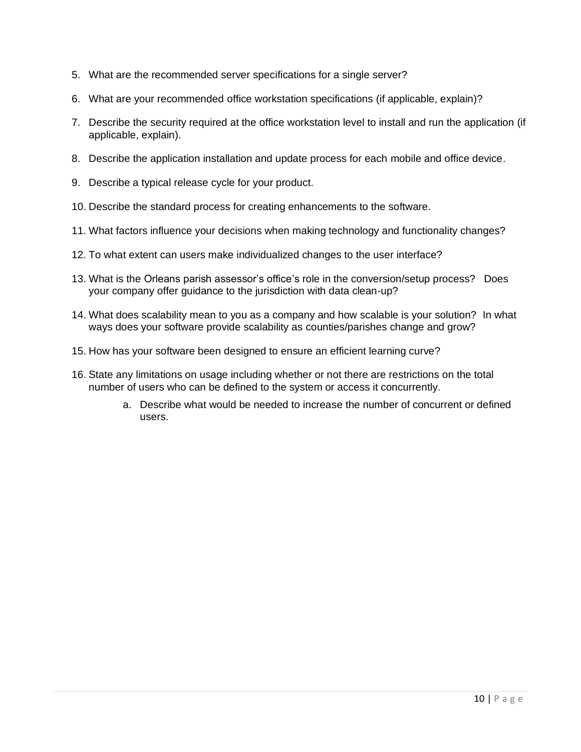- 5. What are the recommended server specifications for a single server?
- 6. What are your recommended office workstation specifications (if applicable, explain)?
- 7. Describe the security required at the office workstation level to install and run the application (if applicable, explain).
- 8. Describe the application installation and update process for each mobile and office device.
- 9. Describe a typical release cycle for your product.
- 10. Describe the standard process for creating enhancements to the software.
- 11. What factors influence your decisions when making technology and functionality changes?
- 12. To what extent can users make individualized changes to the user interface?
- 13. What is the Orleans parish assessor's office's role in the conversion/setup process? Does your company offer guidance to the jurisdiction with data clean-up?
- 14. What does scalability mean to you as a company and how scalable is your solution? In what ways does your software provide scalability as counties/parishes change and grow?
- 15. How has your software been designed to ensure an efficient learning curve?
- 16. State any limitations on usage including whether or not there are restrictions on the total number of users who can be defined to the system or access it concurrently.
	- a. Describe what would be needed to increase the number of concurrent or defined users.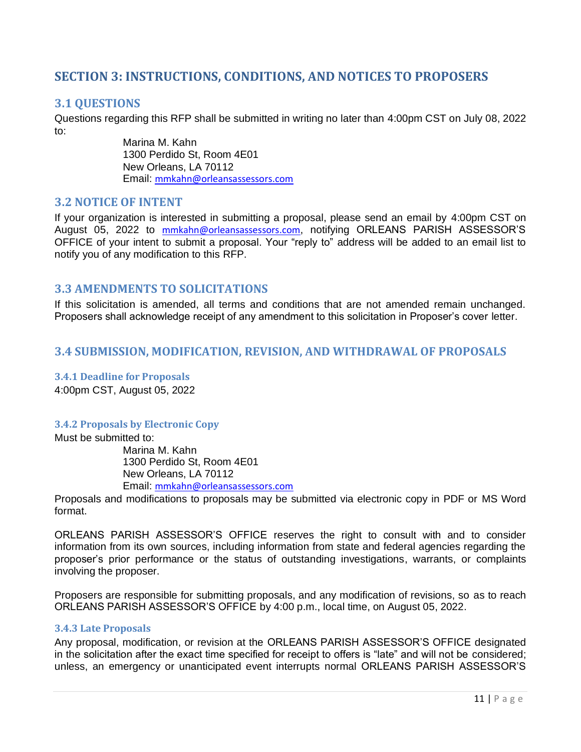# <span id="page-10-0"></span>**SECTION 3: INSTRUCTIONS, CONDITIONS, AND NOTICES TO PROPOSERS**

# <span id="page-10-1"></span>**3.1 QUESTIONS**

Questions regarding this RFP shall be submitted in writing no later than 4:00pm CST on July 08, 2022 to:

> Marina M. Kahn 1300 Perdido St, Room 4E01 New Orleans, LA 70112 Email: mmkahn@orleansassessors.com

## <span id="page-10-2"></span>**3.2 NOTICE OF INTENT**

If your organization is interested in submitting a proposal, please send an email by 4:00pm CST on August 05, 2022 to mmkahn@orleansassessors.com, notifying ORLEANS PARISH ASSESSOR'S OFFICE of your intent to submit a proposal. Your "reply to" address will be added to an email list to notify you of any modification to this RFP.

## <span id="page-10-3"></span>**3.3 AMENDMENTS TO SOLICITATIONS**

If this solicitation is amended, all terms and conditions that are not amended remain unchanged. Proposers shall acknowledge receipt of any amendment to this solicitation in Proposer's cover letter.

# <span id="page-10-4"></span>**3.4 SUBMISSION, MODIFICATION, REVISION, AND WITHDRAWAL OF PROPOSALS**

<span id="page-10-5"></span>**3.4.1 Deadline for Proposals** 4:00pm CST, August 05, 2022

#### <span id="page-10-6"></span>**3.4.2 Proposals by Electronic Copy**

Must be submitted to:

Marina M. Kahn 1300 Perdido St, Room 4E01 New Orleans, LA 70112 Email: mmkahn@orleansassessors.com

Proposals and modifications to proposals may be submitted via electronic copy in PDF or MS Word format.

ORLEANS PARISH ASSESSOR'S OFFICE reserves the right to consult with and to consider information from its own sources, including information from state and federal agencies regarding the proposer's prior performance or the status of outstanding investigations, warrants, or complaints involving the proposer.

Proposers are responsible for submitting proposals, and any modification of revisions, so as to reach ORLEANS PARISH ASSESSOR'S OFFICE by 4:00 p.m., local time, on August 05, 2022.

#### <span id="page-10-7"></span>**3.4.3 Late Proposals**

Any proposal, modification, or revision at the ORLEANS PARISH ASSESSOR'S OFFICE designated in the solicitation after the exact time specified for receipt to offers is "late" and will not be considered; unless, an emergency or unanticipated event interrupts normal ORLEANS PARISH ASSESSOR'S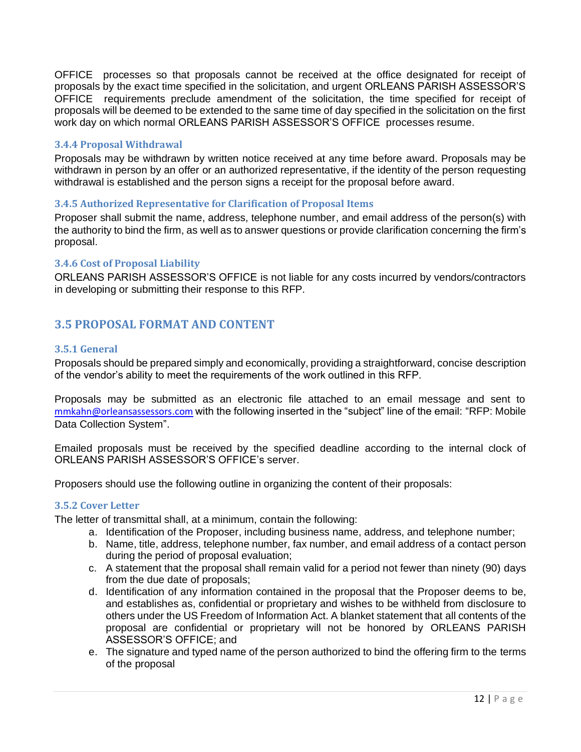OFFICE processes so that proposals cannot be received at the office designated for receipt of proposals by the exact time specified in the solicitation, and urgent ORLEANS PARISH ASSESSOR'S OFFICE requirements preclude amendment of the solicitation, the time specified for receipt of proposals will be deemed to be extended to the same time of day specified in the solicitation on the first work day on which normal ORLEANS PARISH ASSESSOR'S OFFICE processes resume.

#### <span id="page-11-0"></span>**3.4.4 Proposal Withdrawal**

Proposals may be withdrawn by written notice received at any time before award. Proposals may be withdrawn in person by an offer or an authorized representative, if the identity of the person requesting withdrawal is established and the person signs a receipt for the proposal before award.

#### <span id="page-11-1"></span>**3.4.5 Authorized Representative for Clarification of Proposal Items**

Proposer shall submit the name, address, telephone number, and email address of the person(s) with the authority to bind the firm, as well as to answer questions or provide clarification concerning the firm's proposal.

#### <span id="page-11-2"></span>**3.4.6 Cost of Proposal Liability**

ORLEANS PARISH ASSESSOR'S OFFICE is not liable for any costs incurred by vendors/contractors in developing or submitting their response to this RFP.

# <span id="page-11-3"></span>**3.5 PROPOSAL FORMAT AND CONTENT**

#### <span id="page-11-4"></span>**3.5.1 General**

Proposals should be prepared simply and economically, providing a straightforward, concise description of the vendor's ability to meet the requirements of the work outlined in this RFP.

Proposals may be submitted as an electronic file attached to an email message and sent to mmkahn@orleansassessors.com with the following inserted in the "subject" line of the email: "RFP: Mobile Data Collection System".

Emailed proposals must be received by the specified deadline according to the internal clock of ORLEANS PARISH ASSESSOR'S OFFICE's server.

<span id="page-11-5"></span>Proposers should use the following outline in organizing the content of their proposals:

#### **3.5.2 Cover Letter**

The letter of transmittal shall, at a minimum, contain the following:

- a. Identification of the Proposer, including business name, address, and telephone number;
- b. Name, title, address, telephone number, fax number, and email address of a contact person during the period of proposal evaluation;
- c. A statement that the proposal shall remain valid for a period not fewer than ninety (90) days from the due date of proposals;
- d. Identification of any information contained in the proposal that the Proposer deems to be, and establishes as, confidential or proprietary and wishes to be withheld from disclosure to others under the US Freedom of Information Act. A blanket statement that all contents of the proposal are confidential or proprietary will not be honored by ORLEANS PARISH ASSESSOR'S OFFICE; and
- e. The signature and typed name of the person authorized to bind the offering firm to the terms of the proposal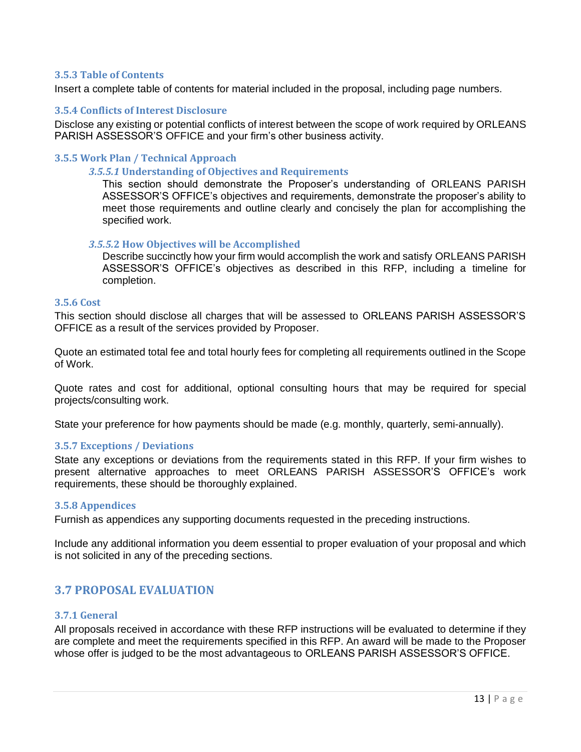#### <span id="page-12-0"></span>**3.5.3 Table of Contents**

<span id="page-12-1"></span>Insert a complete table of contents for material included in the proposal, including page numbers.

#### **3.5.4 Conflicts of Interest Disclosure**

Disclose any existing or potential conflicts of interest between the scope of work required by ORLEANS PARISH ASSESSOR'S OFFICE and your firm's other business activity.

#### <span id="page-12-2"></span>**3.5.5 Work Plan / Technical Approach**

#### *3.5.5.1* **Understanding of Objectives and Requirements**

This section should demonstrate the Proposer's understanding of ORLEANS PARISH ASSESSOR'S OFFICE's objectives and requirements, demonstrate the proposer's ability to meet those requirements and outline clearly and concisely the plan for accomplishing the specified work.

#### *3.5.5.***2 How Objectives will be Accomplished**

Describe succinctly how your firm would accomplish the work and satisfy ORLEANS PARISH ASSESSOR'S OFFICE's objectives as described in this RFP, including a timeline for completion.

#### <span id="page-12-3"></span>**3.5.6 Cost**

This section should disclose all charges that will be assessed to ORLEANS PARISH ASSESSOR'S OFFICE as a result of the services provided by Proposer.

Quote an estimated total fee and total hourly fees for completing all requirements outlined in the Scope of Work.

Quote rates and cost for additional, optional consulting hours that may be required for special projects/consulting work.

<span id="page-12-4"></span>State your preference for how payments should be made (e.g. monthly, quarterly, semi-annually).

#### **3.5.7 Exceptions / Deviations**

State any exceptions or deviations from the requirements stated in this RFP. If your firm wishes to present alternative approaches to meet ORLEANS PARISH ASSESSOR'S OFFICE's work requirements, these should be thoroughly explained.

#### <span id="page-12-5"></span>**3.5.8 Appendices**

Furnish as appendices any supporting documents requested in the preceding instructions.

Include any additional information you deem essential to proper evaluation of your proposal and which is not solicited in any of the preceding sections.

# <span id="page-12-6"></span>**3.7 PROPOSAL EVALUATION**

#### <span id="page-12-7"></span>**3.7.1 General**

All proposals received in accordance with these RFP instructions will be evaluated to determine if they are complete and meet the requirements specified in this RFP. An award will be made to the Proposer whose offer is judged to be the most advantageous to ORLEANS PARISH ASSESSOR'S OFFICE.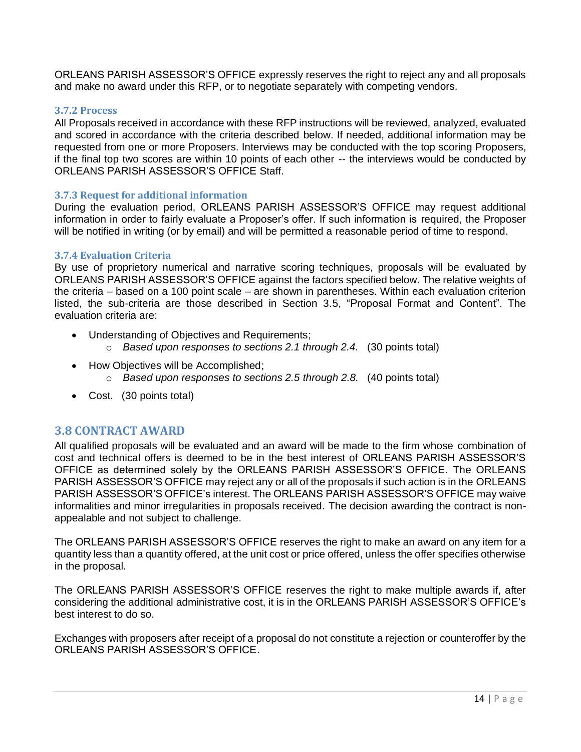ORLEANS PARISH ASSESSOR'S OFFICE expressly reserves the right to reject any and all proposals and make no award under this RFP, or to negotiate separately with competing vendors.

#### <span id="page-13-0"></span>**3.7.2 Process**

All Proposals received in accordance with these RFP instructions will be reviewed, analyzed, evaluated and scored in accordance with the criteria described below. If needed, additional information may be requested from one or more Proposers. Interviews may be conducted with the top scoring Proposers, if the final top two scores are within 10 points of each other -- the interviews would be conducted by ORLEANS PARISH ASSESSOR'S OFFICE Staff.

#### <span id="page-13-1"></span>**3.7.3 Request for additional information**

During the evaluation period, ORLEANS PARISH ASSESSOR'S OFFICE may request additional information in order to fairly evaluate a Proposer's offer. If such information is required, the Proposer will be notified in writing (or by email) and will be permitted a reasonable period of time to respond.

#### <span id="page-13-2"></span>**3.7.4 Evaluation Criteria**

By use of proprietory numerical and narrative scoring techniques, proposals will be evaluated by ORLEANS PARISH ASSESSOR'S OFFICE against the factors specified below. The relative weights of the criteria – based on a 100 point scale – are shown in parentheses. Within each evaluation criterion listed, the sub-criteria are those described in Section 3.5, "Proposal Format and Content". The evaluation criteria are:

- Understanding of Objectives and Requirements;
	- o *Based upon responses to sections 2.1 through 2.4.* (30 points total)
- How Objectives will be Accomplished;
	- o *Based upon responses to sections 2.5 through 2.8.* (40 points total)
- Cost. (30 points total)

## <span id="page-13-3"></span>**3.8 CONTRACT AWARD**

All qualified proposals will be evaluated and an award will be made to the firm whose combination of cost and technical offers is deemed to be in the best interest of ORLEANS PARISH ASSESSOR'S OFFICE as determined solely by the ORLEANS PARISH ASSESSOR'S OFFICE. The ORLEANS PARISH ASSESSOR'S OFFICE may reject any or all of the proposals if such action is in the ORLEANS PARISH ASSESSOR'S OFFICE's interest. The ORLEANS PARISH ASSESSOR'S OFFICE may waive informalities and minor irregularities in proposals received. The decision awarding the contract is nonappealable and not subject to challenge.

The ORLEANS PARISH ASSESSOR'S OFFICE reserves the right to make an award on any item for a quantity less than a quantity offered, at the unit cost or price offered, unless the offer specifies otherwise in the proposal.

The ORLEANS PARISH ASSESSOR'S OFFICE reserves the right to make multiple awards if, after considering the additional administrative cost, it is in the ORLEANS PARISH ASSESSOR'S OFFICE's best interest to do so.

Exchanges with proposers after receipt of a proposal do not constitute a rejection or counteroffer by the ORLEANS PARISH ASSESSOR'S OFFICE.